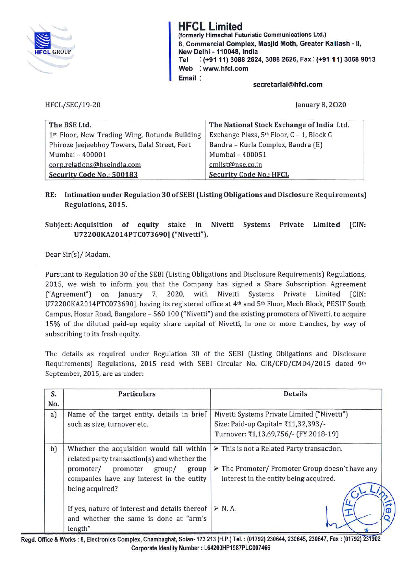

(formerly Himachal Futuristic Communications Ltd.) ~ **(formerly Himachal Futuristic Communications Ltd.) 8, Commercial Complex, Masjid Moth, Greater Kailash** - II, **New Delhi** - **110048, India Tel** : **(+9111) 3088 2624, 3088 2626, Fax: (+9111) 3068 9013 Web** : **www.hfcl.com Email** 

**secretarial@hfcl.com** 

HFCL/SEC/19-20

January 8, 2020

| The BSE Ltd.                                  | The National Stock Exchange of India Ltd.             |  |  |
|-----------------------------------------------|-------------------------------------------------------|--|--|
| 1st Floor, New Trading Wing, Rotunda Building | Exchange Plaza, 5 <sup>th</sup> Floor, C - 1, Block G |  |  |
| Phiroze Jeejeebhoy Towers, Dalal Street, Fort | Bandra - Kurla Complex, Bandra (E)                    |  |  |
| Mumbai - 400001                               | Mumbai - 400051                                       |  |  |
| corp.relations@bseindia.com                   | cmlist@nse.co.in                                      |  |  |
| Security Code No.: 500183                     | <b>Security Code No.: HFCL</b>                        |  |  |

**RE: Intimation under Regulation 30 of SEBI (Listing Obligations and Disclosure Requirements) Regulations, 2015.** 

**Subject: Acquisition of equity stake in Nivetti Systems Private Limited [CIN: U72200KA2014PTC073690) ("Nivetti").** 

Dear Sir(s)/ Madam,

Pursuant to Regulation 30 of the SEBI (Listing Obligations and Disclosure Requirements) Regulations, 2015, we wish to inform you that the Company has signed a Share Subscription Agreement ("Agreement") on January 7, 2020, with Nivetti Systems Private Limited [CIN: U72200KA2014PTC073690), having its registered office at 4th and 5th Floor, Mech Block, PESIT South Campus, Hosur Road, Bangalore - 560 100 ("Nivetti") and the existing promoters of Nivetti, to acquire 15% of the diluted paid-up equity share capital of Nivetti, in one or more tranches, by way of subscribing to its fresh equity.

The details as required under Regulation 30 of the SEBI (Listing Obligations and Disclosure Requirements) Regulations, 2015 read with SEBI Circular No. CIR/CFD/CMD4/2015 dated 9th September, 2015, are as under:

| S.<br>No. | <b>Particulars</b><br>Name of the target entity, details in brief<br>such as size, turnover etc.<br>Whether the acquisition would fall within<br>related party transaction(s) and whether the<br>promoter<br>promoter/<br>group/<br>group<br>companies have any interest in the entity<br>being acquired? | <b>Details</b><br>Nivetti Systems Private Limited ("Nivetti")<br>Size: Paid-up Capital= ₹11,32,393/-<br>Turnover: ₹1,13,69,756/- (FY 2018-19)<br>$\triangleright$ This is not a Related Party transaction.<br>$\triangleright$ The Promoter/ Promoter Group doesn't have any<br>interest in the entity being acquired. |  |  |
|-----------|-----------------------------------------------------------------------------------------------------------------------------------------------------------------------------------------------------------------------------------------------------------------------------------------------------------|------------------------------------------------------------------------------------------------------------------------------------------------------------------------------------------------------------------------------------------------------------------------------------------------------------------------|--|--|
| a)        |                                                                                                                                                                                                                                                                                                           |                                                                                                                                                                                                                                                                                                                        |  |  |
| b)        |                                                                                                                                                                                                                                                                                                           |                                                                                                                                                                                                                                                                                                                        |  |  |
|           | If yes, nature of interest and details thereof $\triangleright$ N.A.<br>and whether the same is done at "arm's<br>length"                                                                                                                                                                                 |                                                                                                                                                                                                                                                                                                                        |  |  |

Regd. Office & Works: 8, Electronics Complex, Chambaghat, Solan-173 213 (H.P.) Tel.: (01792) 230644, 230645, 230647, Fax: (01792) 231902 **Corporate Identity Number: L64200HP1987PLC007466**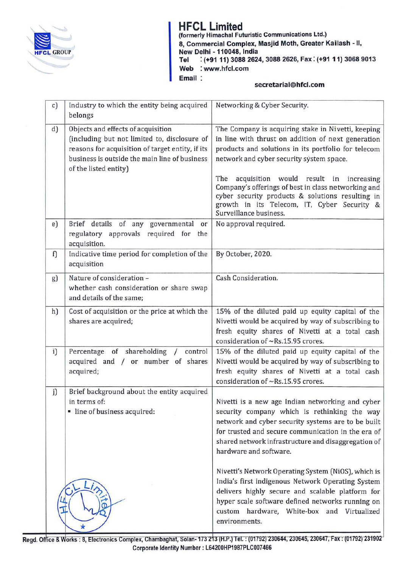

**HFCL Limited**<br>(formerly Himachal Futuristic Communications Ltd.) (formerly Himachal Futuristic Communications Ltd.)<br>8, Commercial Complex, Masjid Moth, Greater I<br>New Delhi - 110048, India **8, Commercial Complex, Masjid Moth, Greater Kailash** - II, **New Delhi** - **110048, India Tel** : **(+9111) 3088 2624, 3088 2626, Fax: (+9111) 3068 9013 Web** : **www.hfcl.com Email** 

## **secretarial@hfcl.com**

| c) | Industry to which the entity being acquired<br>belongs                                                                                                                                                           | Networking & Cyber Security.                                                                                                                                                                                                                                                                                                                                                                                                                     |  |  |  |
|----|------------------------------------------------------------------------------------------------------------------------------------------------------------------------------------------------------------------|--------------------------------------------------------------------------------------------------------------------------------------------------------------------------------------------------------------------------------------------------------------------------------------------------------------------------------------------------------------------------------------------------------------------------------------------------|--|--|--|
| d) | Objects and effects of acquisition<br>(including but not limited to, disclosure of<br>reasons for acquisition of target entity, if its<br>business is outside the main line of business<br>of the listed entity) | The Company is acquiring stake in Nivetti, keeping<br>in line with thrust on addition of next generation<br>products and solutions in its portfolio for telecom<br>network and cyber security system space.<br>acquisition would result in increasing<br>The<br>Company's offerings of best in class networking and<br>cyber security products & solutions resulting in<br>growth in its Telecom, IT, Cyber Security &<br>Surveillance business. |  |  |  |
| e) | Brief details of any governmental<br>or<br>regulatory approvals required for the<br>acquisition.                                                                                                                 | No approval required.                                                                                                                                                                                                                                                                                                                                                                                                                            |  |  |  |
| f) | Indicative time period for completion of the<br>acquisition                                                                                                                                                      | By October, 2020.                                                                                                                                                                                                                                                                                                                                                                                                                                |  |  |  |
| g) | Nature of consideration -<br>whether cash consideration or share swap<br>and details of the same;                                                                                                                | Cash Consideration.                                                                                                                                                                                                                                                                                                                                                                                                                              |  |  |  |
| h) | Cost of acquisition or the price at which the<br>shares are acquired;                                                                                                                                            | 15% of the diluted paid up equity capital of the<br>Nivetti would be acquired by way of subscribing to<br>fresh equity shares of Nivetti at a total cash<br>consideration of $\sim$ Rs.15.95 crores.                                                                                                                                                                                                                                             |  |  |  |
| i) | Percentage of shareholding<br>control<br>$\prime$<br>acquired and / or number of shares<br>acquired;                                                                                                             | 15% of the diluted paid up equity capital of the<br>Nivetti would be acquired by way of subscribing to<br>fresh equity shares of Nivetti at a total cash<br>consideration of ~Rs.15.95 crores.                                                                                                                                                                                                                                                   |  |  |  |
| j) | Brief background about the entity acquired<br>in terms of:<br>" line of business acquired:                                                                                                                       | Nivetti is a new age Indian networking and cyber<br>security company which is rethinking the way<br>network and cyber security systems are to be built<br>for trusted and secure communication in the era of<br>shared network infrastructure and disaggregation of<br>hardware and software.                                                                                                                                                    |  |  |  |
|    |                                                                                                                                                                                                                  | Nivetti's Network Operating System (NiOS), which is<br>India's first indigenous Network Operating System<br>delivers highly secure and scalable platform for<br>hyper scale software defined networks running on<br>custom hardware, White-box and Virtualized<br>environments.                                                                                                                                                                  |  |  |  |

Regd. Office & Works: 8, Electronics Complex, Chambaghat, Solan-173 213 (H.P.) Tel.: (01792) 230644, 230645, 230647, Fax: (01792) 231902 Corporate Identity Number: L64200HP1987PLC007466